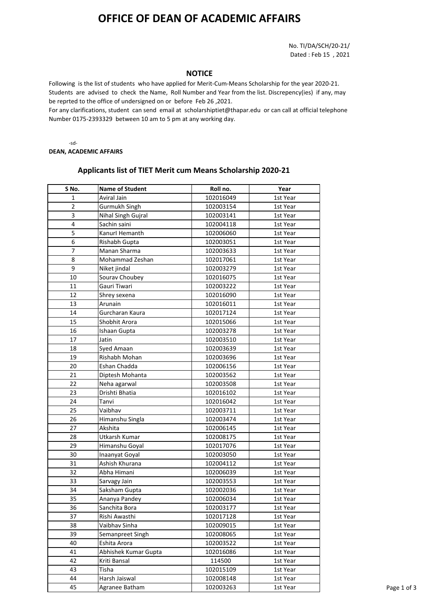## **OFFICE OF DEAN OF ACADEMIC AFFAIRS**

No. TI/DA/SCH/20-21/ Dated : Feb 15 , 2021

## **NOTICE**

Following is the list of students who have applied for Merit-Cum-Means Scholarship for the year 2020-21. Students are advised to check the Name, Roll Number and Year from the list. Discrepency(ies) if any, may be reprted to the office of undersigned on or before Feb 26 ,2021.

For any clarifications, student can send email at scholarshiptiet@thapar.edu or can call at official telephone Number 0175-2393329 between 10 am to 5 pm at any working day.

-sd-**DEAN, ACADEMIC AFFAIRS**

## **Applicants list of TIET Merit cum Means Scholarship 2020-21**

| S No.                   | <b>Name of Student</b> | Roll no.  | Year     |
|-------------------------|------------------------|-----------|----------|
| 1                       | Aviral Jain            | 102016049 | 1st Year |
| $\overline{\mathbf{c}}$ | Gurmukh Singh          | 102003154 | 1st Year |
| 3                       | Nihal Singh Gujral     | 102003141 | 1st Year |
| 4                       | Sachin saini           | 102004118 | 1st Year |
| 5                       | Kanurl Hemanth         | 102006060 | 1st Year |
| 6                       | Rishabh Gupta          | 102003051 | 1st Year |
| 7                       | Manan Sharma           | 102003633 | 1st Year |
| 8                       | Mohammad Zeshan        | 102017061 | 1st Year |
| 9                       | Niket jindal           | 102003279 | 1st Year |
| 10                      | Sourav Choubey         | 102016075 | 1st Year |
| 11                      | Gauri Tiwari           | 102003222 | 1st Year |
| 12                      | Shrey sexena           | 102016090 | 1st Year |
| 13                      | Arunain                | 102016011 | 1st Year |
| 14                      | Gurcharan Kaura        | 102017124 | 1st Year |
| 15                      | Shobhit Arora          | 102015066 | 1st Year |
| 16                      | Ishaan Gupta           | 102003278 | 1st Year |
| 17                      | Jatin                  | 102003510 | 1st Year |
| 18                      | Syed Amaan             | 102003639 | 1st Year |
| 19                      | Rishabh Mohan          | 102003696 | 1st Year |
| 20                      | Eshan Chadda           | 102006156 | 1st Year |
| 21                      | Diptesh Mohanta        | 102003562 | 1st Year |
| 22                      | Neha agarwal           | 102003508 | 1st Year |
| 23                      | Drishti Bhatia         | 102016102 | 1st Year |
| 24                      | Tanvi                  | 102016042 | 1st Year |
| 25                      | Vaibhav                | 102003711 | 1st Year |
| 26                      | Himanshu Singla        | 102003474 | 1st Year |
| 27                      | Akshita                | 102006145 | 1st Year |
| 28                      | Utkarsh Kumar          | 102008175 | 1st Year |
| 29                      | Himanshu Goyal         | 102017076 | 1st Year |
| 30                      | Inaanyat Goyal         | 102003050 | 1st Year |
| 31                      | Ashish Khurana         | 102004112 | 1st Year |
| 32                      | Abha Himani            | 102006039 | 1st Year |
| 33                      | Sarvagy Jain           | 102003553 | 1st Year |
| 34                      | Saksham Gupta          | 102002036 | 1st Year |
| 35                      | Ananya Pandey          | 102006034 | 1st Year |
| 36                      | Sanchita Bora          | 102003177 | 1st Year |
| 37                      | Rishi Awasthi          | 102017128 | 1st Year |
| 38                      | Vaibhav Sinha          | 102009015 | 1st Year |
| 39                      | Semanpreet Singh       | 102008065 | 1st Year |
| 40                      | Eshita Arora           | 102003522 | 1st Year |
| 41                      | Abhishek Kumar Gupta   | 102016086 | 1st Year |
| 42                      | Kriti Bansal           | 114500    | 1st Year |
| 43                      | Tisha                  | 102015109 | 1st Year |
| 44                      | Harsh Jaiswal          | 102008148 | 1st Year |
| 45                      | Agranee Batham         | 102003263 | 1st Year |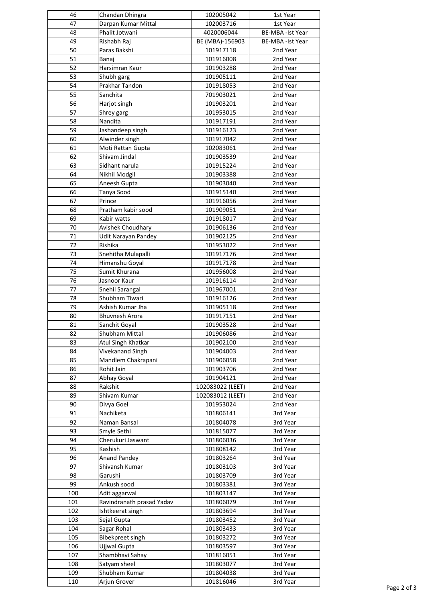| 46  | Chandan Dhingra           | 102005042        | 1st Year               |
|-----|---------------------------|------------------|------------------------|
| 47  | Darpan Kumar Mittal       | 102003716        | 1st Year               |
| 48  | Phalit Jotwani            | 4020006044       | <b>BE-MBA-Ist Year</b> |
| 49  | Rishabh Raj               | BE (MBA)-156903  | BE-MBA -Ist Year       |
| 50  | Paras Bakshi              | 101917118        | 2nd Year               |
| 51  | Banaj                     | 101916008        | 2nd Year               |
| 52  | Harsimran Kaur            | 101903288        | 2nd Year               |
| 53  | Shubh garg                | 101905111        | 2nd Year               |
| 54  | Prakhar Tandon            | 101918053        | 2nd Year               |
| 55  | Sanchita                  | 701903021        | 2nd Year               |
| 56  | Harjot singh              | 101903201        | 2nd Year               |
| 57  | Shrey garg                | 101953015        | 2nd Year               |
| 58  | Nandita                   | 101917191        | 2nd Year               |
| 59  | Jashandeep singh          | 101916123        | 2nd Year               |
| 60  | Alwinder singh            | 101917042        | 2nd Year               |
| 61  | Moti Rattan Gupta         | 102083061        | 2nd Year               |
| 62  | Shivam Jindal             | 101903539        | 2nd Year               |
| 63  | Sidhant narula            | 101915224        | 2nd Year               |
|     |                           |                  |                        |
| 64  | Nikhil Modgil             | 101903388        | 2nd Year               |
| 65  | Aneesh Gupta              | 101903040        | 2nd Year               |
| 66  | Tanya Sood                | 101915140        | 2nd Year               |
| 67  | Prince                    | 101916056        | 2nd Year               |
| 68  | Pratham kabir sood        | 101909051        | 2nd Year               |
| 69  | Kabir watts               | 101918017        | 2nd Year               |
| 70  | Avishek Choudhary         | 101906136        | 2nd Year               |
| 71  | Udit Narayan Pandey       | 101902125        | 2nd Year               |
| 72  | Rishika                   | 101953022        | 2nd Year               |
| 73  | Snehitha Mulapalli        | 101917176        | 2nd Year               |
| 74  | Himanshu Goyal            | 101917178        | 2nd Year               |
| 75  | Sumit Khurana             | 101956008        | 2nd Year               |
| 76  | Jasnoor Kaur              | 101916114        | 2nd Year               |
| 77  | Snehil Sarangal           | 101967001        | 2nd Year               |
| 78  | Shubham Tiwari            | 101916126        | 2nd Year               |
| 79  | Ashish Kumar Jha          | 101905118        | 2nd Year               |
| 80  | <b>Bhuvnesh Arora</b>     | 101917151        | 2nd Year               |
| 81  | Sanchit Goyal             | 101903528        | 2nd Year               |
| 82  | Shubham Mittal            | 101906086        | 2nd Year               |
| 83  | Atul Singh Khatkar        | 101902100        | 2nd Year               |
| 84  | Vivekanand Singh          | 101904003        | 2nd Year               |
| 85  | Mandlem Chakrapani        | 101906058        | 2nd Year               |
| 86  | Rohit Jain                | 101903706        | 2nd Year               |
| 87  | Abhay Goyal               | 101904121        | 2nd Year               |
| 88  | Rakshit                   | 102083022 (LEET) | 2nd Year               |
| 89  | Shivam Kumar              | 102083012 (LEET) | 2nd Year               |
| 90  | Divya Goel                | 101953024        | 2nd Year               |
| 91  | Nachiketa                 | 101806141        | 3rd Year               |
| 92  | Naman Bansal              | 101804078        | 3rd Year               |
| 93  | Smyle Sethi               | 101815077        | 3rd Year               |
| 94  | Cherukuri Jaswant         | 101806036        | 3rd Year               |
| 95  | Kashish                   | 101808142        | 3rd Year               |
| 96  | <b>Anand Pandey</b>       | 101803264        | 3rd Year               |
| 97  | Shivansh Kumar            | 101803103        | 3rd Year               |
| 98  | Garushi                   | 101803709        | 3rd Year               |
| 99  | Ankush sood               | 101803381        | 3rd Year               |
| 100 | Adit aggarwal             | 101803147        | 3rd Year               |
| 101 | Ravindranath prasad Yadav | 101806079        | 3rd Year               |
| 102 | Ishtkeerat singh          | 101803694        | 3rd Year               |
| 103 | Sejal Gupta               | 101803452        | 3rd Year               |
| 104 | Sagar Rohal               | 101803433        | 3rd Year               |
| 105 | Bibekpreet singh          | 101803272        | 3rd Year               |
| 106 | Ujjwal Gupta              | 101803597        | 3rd Year               |
| 107 |                           | 101816051        |                        |
|     | Shambhavi Sahay           |                  | 3rd Year               |
| 108 | Satyam sheel              | 101803077        | 3rd Year               |
| 109 | Shubham Kumar             | 101804038        | 3rd Year               |
| 110 | Arjun Grover              | 101816046        | 3rd Year               |